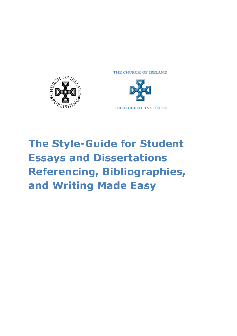

THE CHURCH OF IRELAND



# **The Style-Guide for Student Essays and Dissertations Referencing, Bibliographies, and Writing Made Easy**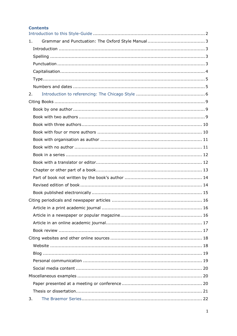| <b>Contents</b> |  |
|-----------------|--|
| 1.              |  |
|                 |  |
|                 |  |
|                 |  |
|                 |  |
|                 |  |
|                 |  |
|                 |  |
| 2.              |  |
|                 |  |
|                 |  |
|                 |  |
|                 |  |
|                 |  |
|                 |  |
|                 |  |
|                 |  |
|                 |  |
|                 |  |
|                 |  |
|                 |  |
|                 |  |
|                 |  |
|                 |  |
|                 |  |
|                 |  |
|                 |  |
|                 |  |
|                 |  |
|                 |  |
|                 |  |
|                 |  |
|                 |  |
|                 |  |
|                 |  |
| 3.              |  |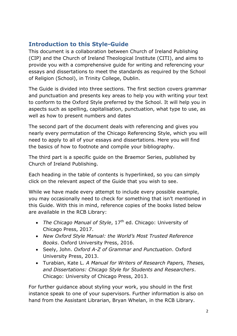# <span id="page-2-0"></span>**Introduction to this Style-Guide**

This document is a collaboration between Church of Ireland Publishing (CIP) and the Church of Ireland Theological Institute (CITI), and aims to provide you with a comprehensive guide for writing and referencing your essays and dissertations to meet the standards as required by the School of Religion (School), in Trinity College, Dublin.

The Guide is divided into three sections. The first section covers grammar and punctuation and presents key areas to help you with writing your text to conform to the Oxford Style preferred by the School. It will help you in aspects such as spelling, capitalisation, punctuation, what type to use, as well as how to present numbers and dates

The second part of the document deals with referencing and gives you nearly every permutation of the Chicago Referencing Style, which you will need to apply to all of your essays and dissertations. Here you will find the basics of how to footnote and compile your bibliography.

The third part is a specific guide on the Braemor Series, published by Church of Ireland Publishing.

Each heading in the table of contents is hyperlinked, so you can simply click on the relevant aspect of the Guide that you wish to see.

While we have made every attempt to include every possible example, you may occasionally need to check for something that isn't mentioned in this Guide. With this in mind, reference copies of the books listed below are available in the RCB Library:

- *The Chicago Manual of Style*, 17<sup>th</sup> ed. Chicago: University of Chicago Press, 2017.
- *New Oxford Style Manual: the World's Most Trusted Reference Books*. Oxford University Press, 2016.
- Seely, John. *Oxford A-Z of Grammar and Punctuation*. Oxford University Press, 2013.
- Turabian, Kate L. *A Manual for Writers of Research Papers, Theses, and Dissertations: Chicago Style for Students and Researchers*. Chicago: University of Chicago Press, 2013.

For further guidance about styling your work, you should in the first instance speak to one of your supervisors. Further information is also on hand from the Assistant Librarian, Bryan Whelan, in the RCB Library.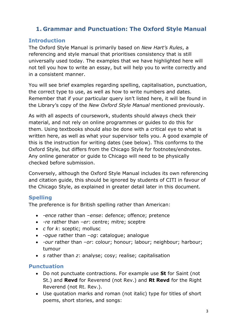# <span id="page-3-0"></span>**1. Grammar and Punctuation: The Oxford Style Manual**

# <span id="page-3-1"></span>**Introduction**

The Oxford Style Manual is primarily based on *New Hart's Rules*, a referencing and style manual that prioritises consistency that is still universally used today. The examples that we have highlighted here will not tell you how to write an essay, but will help you to write correctly and in a consistent manner.

You will see brief examples regarding spelling, capitalisation, punctuation, the correct type to use, as well as how to write numbers and dates. Remember that if your particular query isn't listed here, it will be found in the Library's copy of the *New Oxford Style Manual* mentioned previously.

As with all aspects of coursework, students should always check their material, and not rely on online programmes or guides to do this for them. Using textbooks should also be done with a critical eye to what is written here, as well as what your supervisor tells you. A good example of this is the instruction for writing dates (see below). This conforms to the Oxford Style, but differs from the Chicago Style for footnotes/endnotes. Any online generator or guide to Chicago will need to be physically checked before submission.

Conversely, although the Oxford Style Manual includes its own referencing and citation guide, this should be ignored by students of CITI in favour of the Chicago Style, as explained in greater detail later in this document.

# <span id="page-3-2"></span>**Spelling**

The preference is for British spelling rather than American:

- *-ence* rather than *–ense*: defence; offence; pretence
- *-re* rather than *–er*: centre; mitre; sceptre
- *c* for *k*: sceptic; mollusc
- *-ogue* rather than *–og*: catalogue; analogue
- *-our* rather than *–or*: colour; honour; labour; neighbour; harbour; tumour
- *s* rather than *z*: analyse; cosy; realise; capitalisation

# <span id="page-3-3"></span>**Punctuation**

- Do not punctuate contractions. For example use **St** for Saint (not St.) and **Revd** for Reverend (not Rev.) and **Rt Revd** for the Right Reverend (not Rt. Rev.).
- Use quotation marks and roman (not italic) type for titles of short poems, short stories, and songs: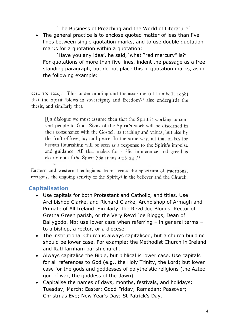'The Business of Preaching and the World of Literature'

• The general practice is to enclose quoted matter of less than five lines between single quotation marks, and to use double quotation marks for a quotation within a quotation:

'Have you any idea', he said, 'what "red mercury" is?' For quotations of more than five lines, indent the passage as a freestanding paragraph, but do not place this in quotation marks, as in the following example:

 $2:14-16$ ;  $12:4$ ).<sup>31</sup> This understanding and the assertion (of Lambeth  $1008$ ) that the Spirit 'blows in sovereignty and freedom'<sup>32</sup> also undergirds the thesis, and similarly that:

[i]n dialogue we must assume then that the Spirit is working to convert people to God. Signs of the Spirit's work will be discerned in their consonance with the Gospel, its teaching and values, but also by the fruit of love, joy and peace. In the same way, all that makes for human flourishing will be seen as a response to the Spirit's impulse and guidance. All that makes for strife, intolerance and greed is clearly not of the Spirit (Galatians  $5:16-24$ ).<sup>33</sup>

Eastern and western theologians, from across the spectrum of traditions, recognise the ongoing activity of the Spirit,<sup>34</sup> in the believer and the Church.

# <span id="page-4-0"></span>**Capitalisation**

- Use capitals for both Protestant and Catholic, and titles. Use Archbishop Clarke, and Richard Clarke, Archbishop of Armagh and Primate of All Ireland. Similarly, the Revd Joe Bloggs, Rector of Gretna Green parish, or the Very Revd Joe Bloggs, Dean of Ballygodo. Nb: use lower case when referring – in general terms – to a bishop, a rector, or a diocese.
- The institutional Church is always capitalised, but a church building should be lower case. For example: the Methodist Church in Ireland and Rathfarnham parish church.
- Always capitalise the Bible, but biblical is lower case. Use capitals for all references to God (e.g., the Holy Trinity, the Lord) but lower case for the gods and goddesses of polytheistic religions (the Aztec god of war, the goddess of the dawn).
- Capitalise the names of days, months, festivals, and holidays: Tuesday; March; Easter; Good Friday; Ramadan; Passover; Christmas Eve; New Year's Day; St Patrick's Day.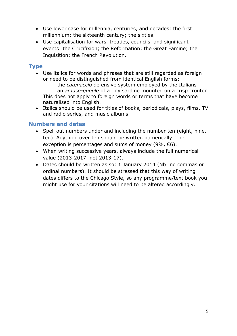- Use lower case for millennia, centuries, and decades: the first millennium; the sixteenth century; the sixties.
- Use capitalisation for wars, treaties, councils, and significant events: the Crucifixion; the Reformation; the Great Famine; the Inquisition; the French Revolution.

# <span id="page-5-0"></span>**Type**

- Use italics for words and phrases that are still regarded as foreign or need to be distinguished from identical English forms: the *catenaccio* defensive system employed by the Italians an *amuse-gueule* of a tiny sardine mounted on a crisp crouton This does not apply to foreign words or terms that have become naturalised into English.
- Italics should be used for titles of books, periodicals, plays, films, TV and radio series, and music albums.

# <span id="page-5-1"></span>**Numbers and dates**

- Spell out numbers under and including the number ten (eight, nine, ten). Anything over ten should be written numerically. The exception is percentages and sums of money (9%,  $\epsilon$ 6).
- When writing successive years, always include the full numerical value (2013-2017, not 2013-17).
- Dates should be written as so: 1 January 2014 (Nb: no commas or ordinal numbers). It should be stressed that this way of writing dates differs to the Chicago Style, so any programme/text book you might use for your citations will need to be altered accordingly.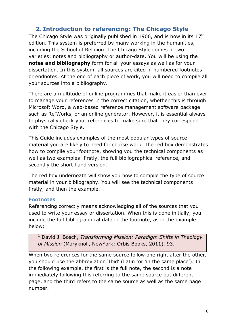# **2. Introduction to referencing: The Chicago Style**

<span id="page-6-0"></span>The Chicago Style was originally published in 1906, and is now in its  $17<sup>th</sup>$ edition. This system is preferred by many working in the humanities, including the School of Religion. The Chicago Style comes in two varieties: notes and bibliography or author-date. You will be using the **notes and bibliography** form for all your essays as well as for your dissertation. In this system, all sources are cited in numbered footnotes or endnotes. At the end of each piece of work, you will need to compile all your sources into a bibliography.

There are a multitude of online programmes that make it easier than ever to manage your references in the correct citation, whether this is through Microsoft Word, a web-based reference management software package such as RefWorks, or an online generator. However, it is essential always to physically check your references to make sure that they correspond with the Chicago Style.

This Guide includes examples of the most popular types of source material you are likely to need for course work. The red box demonstrates how to compile your footnote, showing you the technical components as well as two examples: firstly, the full bibliographical reference, and secondly the short hand version.

The red box underneath will show you how to compile the type of source material in your bibliography. You will see the technical components firstly, and then the example.

#### **Footnotes**

Referencing correctly means acknowledging all of the sources that you used to write your essay or dissertation. When this is done initially, you include the full bibliographical data in the footnote, as in the example below:

<sup>1</sup> David J. Bosch, *Transforming Mission: Paradigm Shifts in Theology of Mission* (Maryknoll, NewYork: Orbis Books, 2011), 93.

When two references for the same source follow one right after the other, you should use the abbreviation 'Ibid' (Latin for 'in the same place'). In the following example, the first is the full note, the second is a note immediately following this referring to the same source but different page, and the third refers to the same source as well as the same page number.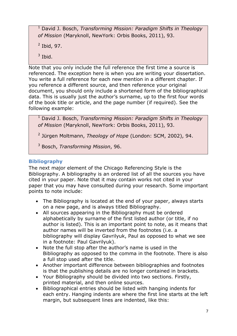<sup>1</sup> David J. Bosch, *Transforming Mission: Paradigm Shifts in Theology of Mission* (Maryknoll, NewYork: Orbis Books, 2011), 93.

 $<sup>2</sup>$  Ibid, 97.</sup>

 $3$  Ibid.

Note that you only include the full reference the first time a source is referenced. The exception here is when you are writing your dissertation. You write a full reference for each new mention in a different chapter. If you reference a different source, and then reference your original document, you should only include a shortened form of the bibliographical data. This is usually just the author's surname, up to the first four words of the book title or article, and the page number (if required). See the following example:

<sup>1</sup> David J. Bosch, *Transforming Mission: Paradigm Shifts in Theology of Mission* (Maryknoll, NewYork: Orbis Books, 2011), 93.

2 Jürgen Moltmann, *Theology of Hope* (London: SCM, 2002), 94.

<sup>3</sup> Bosch, *Transforming Mission*, 96.

# **Bibliography**

The next major element of the Chicago Referencing Style is the Bibliography. A bibliography is an ordered list of all the sources you have cited in your paper. Note that it may contain works not cited in your paper that you may have consulted during your research. Some important points to note include:

- The Bibliography is located at the end of your paper, always starts on a new page, and is always titled Bibliography.
- All sources appearing in the Bibliography must be ordered alphabetically by surname of the first listed author (or title, if no author is listed). This is an important point to note, as it means that author names will be inverted from the footnotes (i.e. a bibliography will display Gavrilyuk, Paul as opposed to what we see in a footnote: Paul Gavrilyuk).
- Note the full stop after the author's name is used in the Bibliography as opposed to the comma in the footnote. There is also a full stop used after the title.
- Another important difference between bibliographies and footnotes is that the publishing details are no longer contained in brackets.
- Your Bibliography should be divided into two sections. Firstly, printed material, and then online sources.
- Bibliographical entries should be listed with hanging indents for each entry. Hanging indents are where the first line starts at the left margin, but subsequent lines are indented, like this: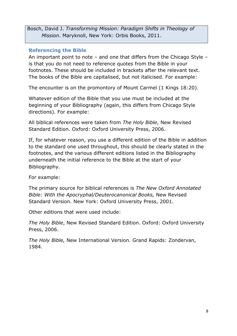Bosch, David J. *Transforming Mission: Paradigm Shifts in Theology of Mission*. Maryknoll, New York: Orbis Books, 2011.

#### **Referencing the Bible**

An important point to note – and one that differs from the Chicago Style – is that you do not need to reference quotes from the Bible in your footnotes. These should be included in brackets after the relevant text. The books of the Bible are capitalised, but not italicised. For example:

The encounter is on the promontory of Mount Carmel (1 Kings 18:20).

Whatever edition of the Bible that you use must be included at the beginning of your Bibliography (again, this differs from Chicago Style directions). For example:

All biblical references were taken from *The Holy Bible*, New Revised Standard Edition. Oxford: Oxford University Press, 2006.

If, for whatever reason, you use a different edition of the Bible in addition to the standard one used throughout, this should be clearly stated in the footnotes, and the various different editions listed in the Bibliography underneath the initial reference to the Bible at the start of your Bibliography.

For example:

The primary source for biblical references is *The New Oxford Annotated Bible: With the Apocryphal/Deuterocanonical Books,* New Revised Standard Version. New York: Oxford University Press, 2001.

Other editions that were used include:

*The Holy Bible*, New Revised Standard Edition. Oxford: Oxford University Press, 2006.

*The Holy Bible,* New International Version. Grand Rapids: Zondervan, 1984.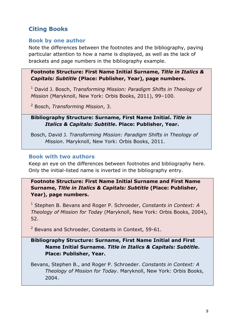# <span id="page-9-0"></span>**Citing Books**

#### <span id="page-9-1"></span>**Book by one author**

Note the differences between the footnotes and the bibliography, paying particular attention to how a name is displayed, as well as the lack of brackets and page numbers in the bibliography example.

#### **Footnote Structure: First Name Initial Surname,** *Title in Italics & Capitals: Subtitle* **(Place: Publisher, Year), page numbers.**

<sup>1</sup> David J. Bosch, *Transforming Mission: Paradigm Shifts in Theology of Mission* (Maryknoll, New York: Orbis Books, 2011), 99–100.

<sup>2</sup> Bosch, *Transforming Mission*, 3.

#### **Bibliography Structure: Surname, First Name Initial.** *Title in Italics & Capitals: Subtitle***. Place: Publisher, Year.**

Bosch, David J. *Transforming Mission: Paradigm Shifts in Theology of Mission*. Maryknoll, New York: Orbis Books, 2011.

# <span id="page-9-2"></span>**Book with two authors**

Keep an eye on the differences between footnotes and bibliography here. Only the initial-listed name is inverted in the bibliography entry.

# **Footnote Structure: First Name Initial Surname and First Name Surname,** *Title in Italics & Capitals: Subtitle* **(Place: Publisher, Year), page numbers.**

<sup>1</sup> Stephen B. Bevans and Roger P. Schroeder, *Constants in Context: A Theology of Mission for Today* (Maryknoll, New York: Orbis Books, 2004), 52.

<sup>2</sup> Bevans and Schroeder, Constants in Context, 59-61.

# **Bibliography Structure: Surname, First Name Initial and First Name Initial Surname.** *Title in Italics & Capitals: Subtitle***. Place: Publisher, Year.**

Bevans, Stephen B., and Roger P. Schroeder. *Constants in Context: A Theology of Mission for Today*. Maryknoll, New York: Orbis Books, 2004.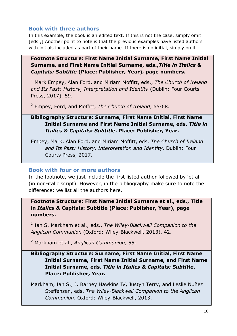#### <span id="page-10-0"></span>**Book with three authors**

In this example, the book is an edited text. If this is not the case, simply omit [eds.,] Another point to note is that the previous examples have listed authors with initials included as part of their name. If there is no initial, simply omit.

#### **Footnote Structure: First Name Initial Surname, First Name Initial Surname, and First Name Initial Surname, eds.,***Title in Italics & Capitals: Subtitle* **(Place: Publisher, Year), page numbers.**

<sup>1</sup> Mark Empey, Alan Ford, and Miriam Moffitt, eds., *The Church of Ireland and Its Past: History, Interpretation and Identity* (Dublin: Four Courts Press, 2017), 59.

<sup>2</sup> Empey, Ford, and Moffitt, *The Church of Ireland*, 65-68.

# **Bibliography Structure: Surname, First Name Initial, First Name Initial Surname and First Name Initial Surname, eds.** *Title in Italics & Capitals: Subtitle***. Place: Publisher, Year.**

Empey, Mark, Alan Ford, and Miriam Moffitt, eds. *The Church of Ireland and Its Past: History, Interpretation and Identity*. Dublin: Four Courts Press, 2017.

#### <span id="page-10-1"></span>**Book with four or more authors**

In the footnote, we just include the first listed author followed by 'et al' (in non-italic script). However, in the bibliography make sure to note the difference: we list all the authors here.

**Footnote Structure: First Name Initial Surname et al., eds., Title in** *Italics &* **Capitals: Subtitle (Place: Publisher, Year), page numbers.**

1 Ian S. Markham et al., eds., *The Wiley-Blackwell Companion to the Anglican Communion* (Oxford: Wiley-Blackwell, 2013), 42.

<sup>2</sup> Markham et al., *Anglican Communion*, 55.

# **Bibliography Structure: Surname, First Name Initial, First Name Initial Surname, First Name Initial Surname, and First Name Initial Surname, eds.** *Title in Italics & Capitals: Subtitle***. Place: Publisher, Year.**

Markham, Ian S., J. Barney Hawkins IV, Justyn Terry, and Leslie Nuñez Steffensen, eds. *The Wiley-Blackwell Companion to the Anglican Communion*. Oxford: Wiley-Blackwell, 2013.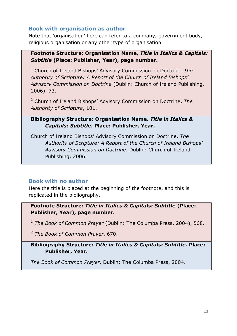#### <span id="page-11-0"></span>**Book with organisation as author**

Note that 'organisation' here can refer to a company, government body, religious organisation or any other type of organisation.

#### **Footnote Structure: Organisation Name,** *Title in Italics & Capitals: Subtitle* **(Place: Publisher, Year), page number.**

<sup>1</sup> Church of Ireland Bishops' Advisory Commission on Doctrine, *The Authority of Scripture: A Report of the Church of Ireland Bishops' Advisory Commission on Doctrine* (Dublin: Church of Ireland Publishing, 2006), 73.

<sup>2</sup> Church of Ireland Bishops' Advisory Commission on Doctrine, *The Authority of Scripture*, 101.

#### **Bibliography Structure: Organisation Name.** *Title in Italics & Capitals: Subtitle***. Place: Publisher, Year.**

Church of Ireland Bishops' Advisory Commission on Doctrine. *The Authority of Scripture: A Report of the Church of Ireland Bishops' Advisory Commission on Doctrine*. Dublin: Church of Ireland Publishing, 2006.

# <span id="page-11-1"></span>**Book with no author**

Here the title is placed at the beginning of the footnote, and this is replicated in the bibliography.

**Footnote Structure:** *Title in Italics & Capitals: Subtitle* **(Place: Publisher, Year), page number.**

<sup>1</sup> *The Book of Common Prayer* (Dublin: The Columba Press, 2004), 568.

<sup>2</sup> *The Book of Common Prayer*, 670.

**Bibliography Structure:** *Title in Italics & Capitals: Subtitle***. Place: Publisher, Year.**

*The Book of Common Prayer*. Dublin: The Columba Press, 2004.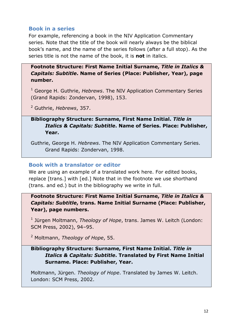# <span id="page-12-0"></span>**Book in a series**

For example, referencing a book in the NIV Application Commentary series. Note that the title of the book will nearly always be the biblical book's name, and the name of the series follows (after a full stop). As the series title is not the name of the book, it is **not** in italics.

**Footnote Structure: First Name Initial Surname,** *Title in Italics & Capitals: Subtitle***. Name of Series (Place: Publisher, Year), page number.**

<sup>1</sup> George H. Guthrie, *Hebrews*. The NIV Application Commentary Series (Grand Rapids: Zondervan, 1998), 153.

<sup>2</sup> Guthrie, *Hebrews*, 357.

# **Bibliography Structure: Surname, First Name Initial.** *Title in Italics & Capitals: Subtitle***. Name of Series. Place: Publisher, Year.**

Guthrie, George H. *Hebrews*. The NIV Application Commentary Series. Grand Rapids: Zondervan, 1998.

# <span id="page-12-1"></span>**Book with a translator or editor**

We are using an example of a translated work here. For edited books, replace [trans.] with [ed.] Note that in the footnote we use shorthand (trans. and ed.) but in the bibliography we write in full.

**Footnote Structure: First Name Initial Surname,** *Title in Italics & Capitals: Subtitle***, trans. Name Initial Surname (Place: Publisher, Year), page numbers.**

1 Jürgen Moltmann, *Theology of Hope*, trans. James W. Leitch (London: SCM Press, 2002), 94–95.

<sup>2</sup> Moltmann, *Theology of Hope*, 55.

# **Bibliography Structure: Surname, First Name Initial.** *Title in Italics & Capitals: Subtitle***. Translated by First Name Initial Surname. Place: Publisher, Year.**

Moltmann, Jürgen. *Theology of Hope*. Translated by James W. Leitch. London: SCM Press, 2002.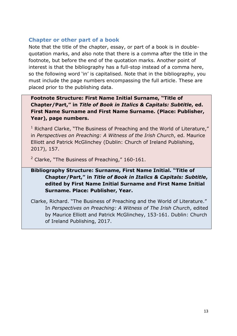# <span id="page-13-0"></span>**Chapter or other part of a book**

Note that the title of the chapter, essay, or part of a book is in doublequotation marks, and also note that there is a comma after the title in the footnote, but before the end of the quotation marks. Another point of interest is that the bibliography has a full-stop instead of a comma here, so the following word 'in' is capitalised. Note that in the bibliography, you must include the page numbers encompassing the full article. These are placed prior to the publishing data.

# **Footnote Structure: First Name Initial Surname, "Title of Chapter/Part," in** *Title of Book in Italics & Capitals: Subtitle***, ed. First Name Surname and First Name Surname. (Place: Publisher, Year), page numbers.**

 $1$  Richard Clarke, "The Business of Preaching and the World of Literature," in *Perspectives on Preaching: A Witness of the Irish Church*, ed. Maurice Elliott and Patrick McGlinchey (Dublin: Church of Ireland Publishing, 2017), 157.

 $2$  Clarke, "The Business of Preaching," 160-161.

# **Bibliography Structure: Surname, First Name Initial. "Title of Chapter/Part," in** *Title of Book in Italics & Capitals: Subtitle***, edited by First Name Initial Surname and First Name Initial Surname. Place: Publisher, Year.**

<span id="page-13-1"></span>Clarke, Richard. "The Business of Preaching and the World of Literature." In *Perspectives on Preaching: A Witness of The Irish Church*, edited by Maurice Elliott and Patrick McGlinchey, 153-161. Dublin: Church of Ireland Publishing, 2017.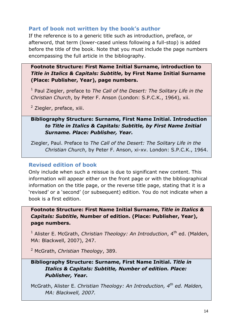#### **Part of book not written by the book's author**

If the reference is to a generic title such as introduction, preface, or afterword, that term (lower-cased unless following a full-stop) is added before the title of the book. Note that you must include the page numbers encompassing the full article in the bibliography.

**Footnote Structure: First Name Initial Surname, introduction to**  *Title in Italics & Capitals: Subtitle***, by First Name Initial Surname (Place: Publisher, Year), page numbers.**

<sup>1</sup> Paul Ziegler, preface to The Call of the Desert: The Solitary Life in the *Christian Church*, by Peter F. Anson (London: S.P.C.K., 1964), xii.

<sup>2</sup> Ziegler, preface, xiii.

#### **Bibliography Structure: Surname, First Name Initial. Introduction** *to Title in Italics & Capitals: Subtitle, by First Name Initial Surname. Place: Publisher, Year.*

Ziegler, Paul. Preface to *The Call of the Desert: The Solitary Life in the Christian Church*, by Peter F. Anson, xi-xv. London: S.P.C.K., 1964.

#### <span id="page-14-0"></span>**Revised edition of book**

Only include when such a reissue is due to significant new content. This information will appear either on the front page or with the bibliographical information on the title page, or the reverse title page, stating that it is a 'revised' or a 'second' (or subsequent) edition. You do not indicate when a book is a first edition.

**Footnote Structure: First Name Initial Surname,** *Title in Italics & Capitals: Subtitle***, Number of edition. (Place: Publisher, Year), page numbers.**

<sup>1</sup> Alister E. McGrath, *Christian Theology: An Introduction*, 4<sup>th</sup> ed. (Malden, MA: Blackwell, 2007), 247.

<sup>2</sup> McGrath, *Christian Theology*, 389.

# **Bibliography Structure: Surname, First Name Initial.** *Title in Italics & Capitals: Subtitle, Number of edition. Place: Publisher, Year.*

McGrath, Alister E. *Christian Theology: An Introduction, 4<sup>th</sup> ed. Malden, MA: Blackwell, 2007.*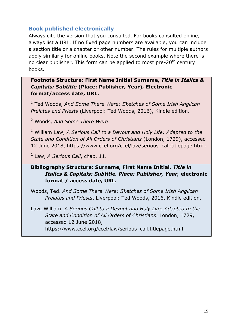#### <span id="page-15-0"></span>**Book published electronically**

Always cite the version that you consulted. For books consulted online, always list a URL. If no fixed page numbers are available, you can include a section title or a chapter or other number. The rules for multiple authors apply similarly for online books. Note the second example where there is no clear publisher. This form can be applied to most pre-20<sup>th</sup> century books.

#### **Footnote Structure: First Name Initial Surname,** *Title in Italics & Capitals: Subtitle* **(Place: Publisher, Year), Electronic format/access date, URL.**

<sup>1</sup> Ted Woods, *And Some There Were: Sketches of Some Irish Anglican Prelates and Priests* (Liverpool: Ted Woods, 2016), Kindle edition.

<sup>2</sup> Woods, *And Some There Were*.

<sup>1</sup> William Law, *A Serious Call to a Devout and Holy Life: Adapted to the State and Condition of All Orders of Christians* (London, 1729), accessed 12 June 2018, https://www.ccel.org/ccel/law/serious\_call.titlepage.html.

2 Law, *A Serious Call*, chap. 11.

# **Bibliography Structure: Surname, First Name Initial.** *Title in Italics & Capitals: Subtitle. Place: Publisher, Year,* **electronic format / access date, URL.**

Woods, Ted. *And Some There Were: Sketches of Some Irish Anglican Prelates and Priests*. Liverpool: Ted Woods, 2016. Kindle edition.

Law, William. *A Serious Call to a Devout and Holy Life: Adapted to the State and Condition of All Orders of Christians*. London, 1729, accessed 12 June 2018, https://www.ccel.org/ccel/law/serious\_call.titlepage.html.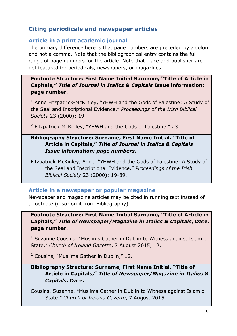# <span id="page-16-0"></span>**Citing periodicals and newspaper articles**

# <span id="page-16-1"></span>**Article in a print academic journal**

The primary difference here is that page numbers are preceded by a colon and not a comma. Note that the bibliographical entry contains the full range of page numbers for the article. Note that place and publisher are not featured for periodicals, newspapers, or magazines.

# **Footnote Structure: First Name Initial Surname, "Title of Article in Capitals,"** *Title of Journal in Italics & Capitals* **Issue information: page number.**

 $1$  Anne Fitzpatrick-McKinley, "YHWH and the Gods of Palestine: A Study of the Seal and Inscriptional Evidence," *Proceedings of the Irish Biblical Society* 23 (2000): 19.

<sup>2</sup> Fitzpatrick-McKinley, "YHWH and the Gods of Palestine," 23.

# **Bibliography Structure: Surname, First Name Initial. "Title of Article in Capitals,"** *Title of Journal in Italics & Capitals Issue information: page numbers.*

Fitzpatrick-McKinley, Anne. "YHWH and the Gods of Palestine: A Study of the Seal and Inscriptional Evidence." *Proceedings of the Irish Biblical Society* 23 (2000): 19-39.

#### <span id="page-16-2"></span>**Article in a newspaper or popular magazine**

Newspaper and magazine articles may be cited in running text instead of a footnote (if so: omit from Bibliography).

**Footnote Structure: First Name Initial Surname, "Title of Article in Capitals,"** *Title of Newspaper/Magazine in Italics & Capitals***, Date, page number.**

 $1$  Suzanne Cousins, "Muslims Gather in Dublin to Witness against Islamic State," *Church of Ireland Gazette*, 7 August 2015, 12.

<sup>2</sup> Cousins, "Muslims Gather in Dublin," 12.

# **Bibliography Structure: Surname, First Name Initial. "Title of Article in Capitals,"** *Title of Newspaper/Magazine in Italics & Capitals***, Date.**

Cousins, Suzanne. "Muslims Gather in Dublin to Witness against Islamic State." *Church of Ireland Gazette*, 7 August 2015.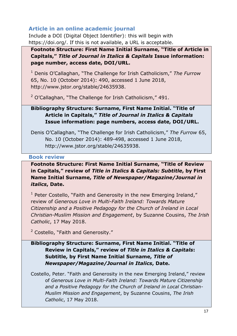# <span id="page-17-0"></span>**Article in an online academic journal**

Include a DOI (Digital Object Identifier): this will begin with https://doi.org/. If this is not available, a URL is acceptable.

**Footnote Structure: First Name Initial Surname, "Title of Article in Capitals,"** *Title of Journal in Italics & Capitals* **Issue information: page number, access date, DOI/URL.**

<sup>1</sup> Denis O'Callaghan, "The Challenge for Irish Catholicism," *The Furrow* 65, No. 10 (October 2014): 490, accessed 1 June 2018, http://www.jstor.org/stable/24635938.

 $2$  O'Callaghan, "The Challenge for Irish Catholicism," 491.

# **Bibliography Structure: Surname, First Name Initial. "Title of Article in Capitals,"** *Title of Journal in Italics & Capitals*  **Issue information: page numbers, access date, DOI/URL.**

Denis O'Callaghan, "The Challenge for Irish Catholicism," *The Furrow* 65, No. 10 (October 2014): 489-498, accessed 1 June 2018, http://www.jstor.org/stable/24635938.

# <span id="page-17-1"></span>**Book review**

# **Footnote Structure: First Name Initial Surname, "Title of Review in Capitals," review of** *Title in Italics & Capitals: Subtitle***, by First Name Initial Surname,** *Title of Newspaper/Magazine/Journal in italics***, Date.**

<sup>1</sup> Peter Costello, "Faith and Generosity in the new Emerging Ireland," review of *Generous Love in Multi-Faith Ireland: Towards Mature Citizenship and a Positive Pedagogy for the Church of Ireland in Local Christian-Muslim Mission and Engagement*, by Suzanne Cousins, *The Irish Catholic*, 17 May 2018.

<sup>2</sup> Costello, "Faith and Generosity."

# **Bibliography Structure: Surname, First Name Initial. "Title of Review in Capitals," review of** *Title in Italics & Capitals***: Subtitle, by First Name Initial Surname,** *Title of Newspaper/Magazine/Journal in Italics***, Date.**

Costello, Peter. "Faith and Generosity in the new Emerging Ireland," review of *Generous Love in Multi-Faith Ireland: Towards Mature Citizenship and a Positive Pedagogy for the Church of Ireland in Local Christian-Muslim Mission and Engagement*, by Suzanne Cousins, *The Irish Catholic*, 17 May 2018.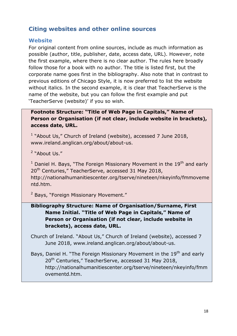# <span id="page-18-0"></span>**Citing websites and other online sources**

#### <span id="page-18-1"></span>**Website**

For original content from online sources, include as much information as possible (author, title, publisher, date, access date, URL). However, note the first example, where there is no clear author. The rules here broadly follow those for a book with no author. The title is listed first, but the corporate name goes first in the bibliography. Also note that in contrast to previous editions of Chicago Style, it is now preferred to list the website without italics. In the second example, it is clear that TeacherServe is the name of the website, but you can follow the first example and put 'TeacherServe (website)' if you so wish.

# **Footnote Structure: "Title of Web Page in Capitals," Name of Person or Organisation (if not clear, include website in brackets), access date, URL.**

<sup>1</sup> "About Us," Church of Ireland (website), accessed 7 June 2018, www.ireland.anglican.org/about/about-us.

<sup>2</sup> "About Us."

 $1$  Daniel H. Bays, "The Foreign Missionary Movement in the 19<sup>th</sup> and early 20<sup>th</sup> Centuries," TeacherServe, accessed 31 May 2018, http://nationalhumanitiescenter.org/tserve/nineteen/nkeyinfo/fmmoveme ntd.htm.

<sup>2</sup> Bays, "Foreign Missionary Movement."

# **Bibliography Structure: Name of Organisation/Surname, First Name Initial. "Title of Web Page in Capitals," Name of Person or Organisation (if not clear, include website in brackets), access date, URL.**

Church of Ireland. "About Us," Church of Ireland (website), accessed 7 June 2018, www.ireland.anglican.org/about/about-us.

Bays, Daniel H. "The Foreign Missionary Movement in the 19<sup>th</sup> and early 20<sup>th</sup> Centuries," TeacherServe, accessed 31 May 2018, http://nationalhumanitiescenter.org/tserve/nineteen/nkeyinfo/fmm ovementd.htm.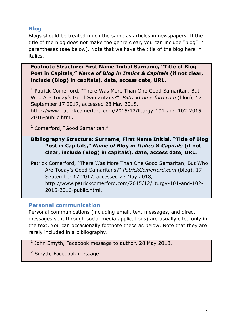# <span id="page-19-0"></span>**Blog**

Blogs should be treated much the same as articles in newspapers. If the title of the blog does not make the genre clear, you can include "blog" in parentheses (see below). Note that we have the title of the blog here in italics.

**Footnote Structure: First Name Initial Surname, "Title of Blog Post in Capitals,"** *Name of Blog in Italics & Capitals* **(if not clear, include (Blog) in capitals), date, access date, URL.**

<sup>1</sup> Patrick Comerford, "There Was More Than One Good Samaritan, But Who Are Today's Good Samaritans?", *PatrickComerford.com* (blog), 17 September 17 2017, accessed 23 May 2018,

http://www.patrickcomerford.com/2015/12/liturgy-101-and-102-2015- 2016-public.html.

<sup>2</sup> Comerford, "Good Samaritan."

# **Bibliography Structure: Surname, First Name Initial. "Title of Blog Post in Capitals,"** *Name of Blog in Italics & Capitals* **(if not clear, include (Blog) in capitals), date, access date, URL.**

Patrick Comerford, "There Was More Than One Good Samaritan, But Who Are Today's Good Samaritans?" *PatrickComerford.com* (blog), 17 September 17 2017, accessed 23 May 2018, http://www.patrickcomerford.com/2015/12/liturgy-101-and-102- 2015-2016-public.html.

# <span id="page-19-1"></span>**Personal communication**

Personal communications (including email, text messages, and direct messages sent through social media applications) are usually cited only in the text. You can occasionally footnote these as below. Note that they are rarely included in a bibliography.

 $<sup>1</sup>$  John Smyth, Facebook message to author, 28 May 2018.</sup>

<sup>2</sup> Smyth, Facebook message.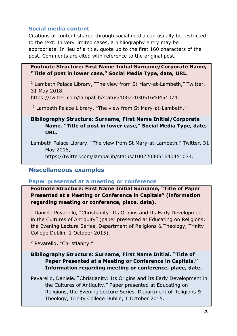# <span id="page-20-0"></span>**Social media content**

Citations of content shared through social media can usually be restricted to the text. In very limited cases, a bibliography entry may be appropriate. In lieu of a title, quote up to the first 160 characters of the post. Comments are cited with reference to the original post.

#### **Footnote Structure: First Name Initial Surname/Corporate Name, "Title of post in lower case," Social Media Type, date, URL.**

<sup>1</sup> Lambeth Palace Library, "The view from St Mary-at-Lambeth," Twitter, 31 May 2018,

https://twitter.com/lampallib/status/1002203051640451074.

 $2$  Lambeth Palace Library, "The view from St Mary-at-Lambeth."

# **Bibliography Structure: Surname, First Name Initial/Corporate Name. "Title of post in lower case," Social Media Type, date, URL.**

Lambeth Palace Library. "The view from St Mary-at-Lambeth," Twitter, 31 May 2018, https://twitter.com/lampallib/status/1002203051640451074.

# <span id="page-20-1"></span>**Miscellaneous examples**

# <span id="page-20-2"></span>**Paper presented at a meeting or conference**

**Footnote Structure: First Name Initial Surname, "Title of Paper Presented at a Meeting or Conference in Capitals" (information regarding meeting or conference, place, date).**

 $1$  Daniele Pevarello, "Christianity: Its Origins and Its Early Development in the Cultures of Antiquity" (paper presented at Educating on Religions, the Evening Lecture Series, Department of Religions & Theology, Trinity College Dublin, 1 October 2015).

<sup>2</sup> Pevarello, "Christianity."

# **Bibliography Structure: Surname, First Name Initial. "Title of Paper Presented at a Meeting or Conference in Capitals." Information regarding meeting or conference, place, date.**

Pevarello, Daniele. "Christianity: Its Origins and Its Early Development in the Cultures of Antiquity." Paper presented at Educating on Religions, the Evening Lecture Series, Department of Religions & Theology, Trinity College Dublin, 1 October 2015.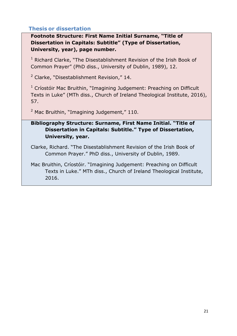# <span id="page-21-0"></span>**Thesis or dissertation**

**Footnote Structure: First Name Initial Surname, "Title of Dissertation in Capitals: Subtitle" (Type of Dissertation, University, year), page number.**

 $1$  Richard Clarke, "The Disestablishment Revision of the Irish Book of Common Prayer" (PhD diss., University of Dublin, 1989), 12.

<sup>2</sup> Clarke, "Disestablishment Revision," 14.

<sup>1</sup> Críostóir Mac Bruithin, "Imagining Judgement: Preaching on Difficult Texts in Luke" (MTh diss., Church of Ireland Theological Institute, 2016), 57.

 $2$  Mac Bruithin, "Imagining Judgement," 110.

# **Bibliography Structure: Surname, First Name Initial. "Title of Dissertation in Capitals: Subtitle." Type of Dissertation, University, year.**

Clarke, Richard. "The Disestablishment Revision of the Irish Book of Common Prayer." PhD diss., University of Dublin, 1989.

Mac Bruithin, Críostóir. "Imagining Judgement: Preaching on Difficult Texts in Luke." MTh diss., Church of Ireland Theological Institute, 2016.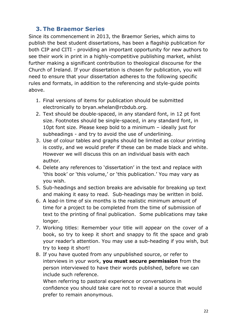# <span id="page-22-0"></span>**3. The Braemor Series**

Since its commencement in 2013, the Braemor Series, which aims to publish the best student dissertations, has been a flagship publication for both CIP and CITI - providing an important opportunity for new authors to see their work in print in a highly-competitive publishing market, whilst further making a significant contribution to theological discourse for the Church of Ireland. If your dissertation is chosen for publication, you will need to ensure that your dissertation adheres to the following specific rules and formats, in addition to the referencing and style-guide points above.

- 1. Final versions of items for publication should be submitted electronically to bryan.whelan@rcbdub.org.
- 2. Text should be double-spaced, in any standard font, in 12 pt font size. Footnotes should be single-spaced, in any standard font, in 10pt font size. Please keep bold to a minimum – ideally just for subheadings - and try to avoid the use of underlining.
- 3. Use of colour tables and graphs should be limited as colour printing is costly, and we would prefer if these can be made black and white. However we will discuss this on an individual basis with each author.
- 4. Delete any references to 'dissertation' in the text and replace with 'this book' or 'this volume,' or 'this publication.' You may vary as you wish.
- 5. Sub-headings and section breaks are advisable for breaking up text and making it easy to read. Sub-headings may be written in bold.
- 6. A lead-in time of six months is the realistic minimum amount of time for a project to be completed from the time of submission of text to the printing of final publication. Some publications may take longer.
- 7. Working titles: Remember your title will appear on the cover of a book, so try to keep it short and snappy to fit the space and grab your reader's attention. You may use a sub-heading if you wish, but try to keep it short!
- 8. If you have quoted from any unpublished source, or refer to interviews in your work, **you must secure permission** from the person interviewed to have their words published, before we can include such reference.

When referring to pastoral experience or conversations in confidence you should take care not to reveal a source that would prefer to remain anonymous.